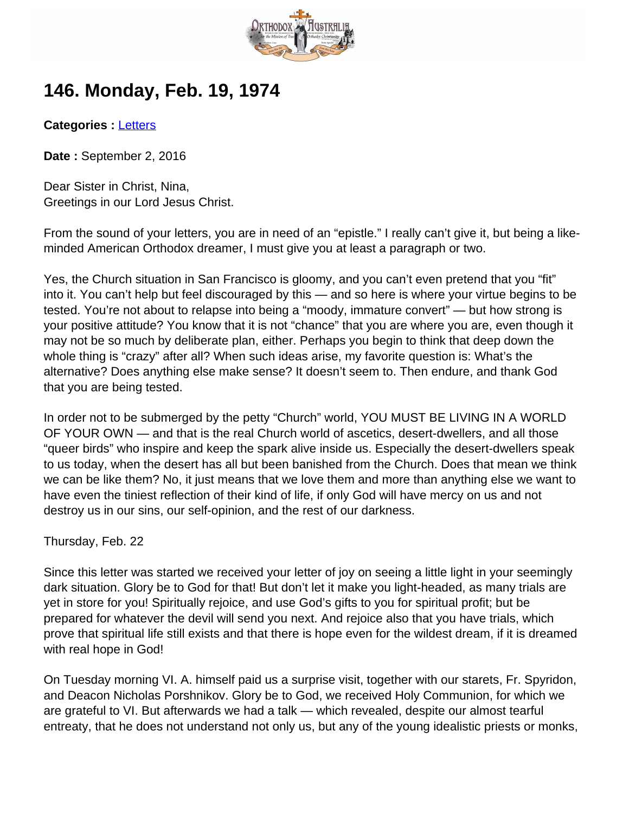

## **146. Monday, Feb. 19, 1974**

**Categories :** [Letters](http://orthodoxaustralia.org/category/letters/)

**Date :** September 2, 2016

Dear Sister in Christ, Nina, Greetings in our Lord Jesus Christ.

From the sound of your letters, you are in need of an "epistle." I really can't give it, but being a likeminded American Orthodox dreamer, I must give you at least a paragraph or two.

Yes, the Church situation in San Francisco is gloomy, and you can't even pretend that you "fit" into it. You can't help but feel discouraged by this — and so here is where your virtue begins to be tested. You're not about to relapse into being a "moody, immature convert" — but how strong is your positive attitude? You know that it is not "chance" that you are where you are, even though it may not be so much by deliberate plan, either. Perhaps you begin to think that deep down the whole thing is "crazy" after all? When such ideas arise, my favorite question is: What's the alternative? Does anything else make sense? It doesn't seem to. Then endure, and thank God that you are being tested.

In order not to be submerged by the petty "Church" world, YOU MUST BE LIVING IN A WORLD OF YOUR OWN — and that is the real Church world of ascetics, desert-dwellers, and all those "queer birds" who inspire and keep the spark alive inside us. Especially the desert-dwellers speak to us today, when the desert has all but been banished from the Church. Does that mean we think we can be like them? No, it just means that we love them and more than anything else we want to have even the tiniest reflection of their kind of life, if only God will have mercy on us and not destroy us in our sins, our self-opinion, and the rest of our darkness.

Thursday, Feb. 22

Since this letter was started we received your letter of joy on seeing a little light in your seemingly dark situation. Glory be to God for that! But don't let it make you light-headed, as many trials are yet in store for you! Spiritually rejoice, and use God's gifts to you for spiritual profit; but be prepared for whatever the devil will send you next. And rejoice also that you have trials, which prove that spiritual life still exists and that there is hope even for the wildest dream, if it is dreamed with real hope in God!

On Tuesday morning VI. A. himself paid us a surprise visit, together with our starets, Fr. Spyridon, and Deacon Nicholas Porshnikov. Glory be to God, we received Holy Communion, for which we are grateful to VI. But afterwards we had a talk — which revealed, despite our almost tearful entreaty, that he does not understand not only us, but any of the young idealistic priests or monks,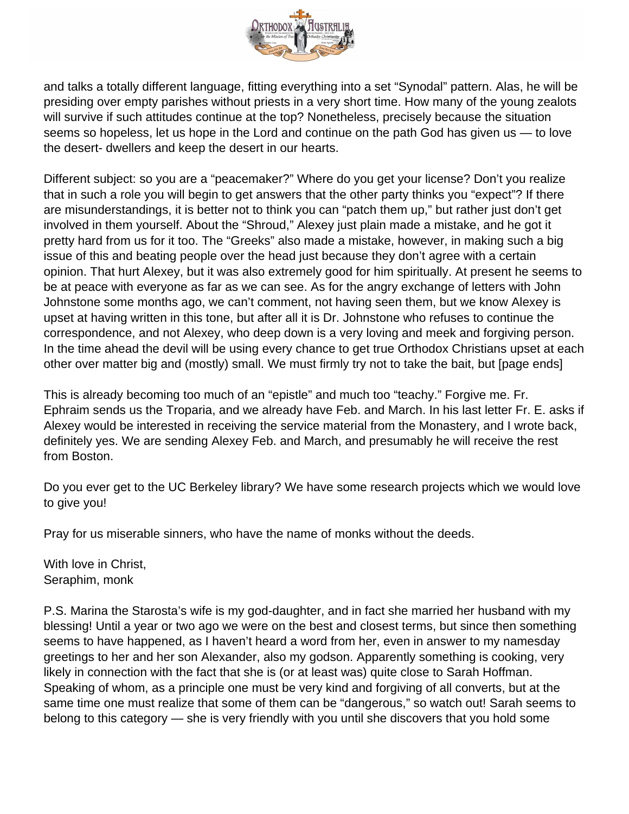

and talks a totally different language, fitting everything into a set "Synodal" pattern. Alas, he will be presiding over empty parishes without priests in a very short time. How many of the young zealots will survive if such attitudes continue at the top? Nonetheless, precisely because the situation seems so hopeless, let us hope in the Lord and continue on the path God has given us — to love the desert- dwellers and keep the desert in our hearts.

Different subject: so you are a "peacemaker?" Where do you get your license? Don't you realize that in such a role you will begin to get answers that the other party thinks you "expect"? If there are misunderstandings, it is better not to think you can "patch them up," but rather just don't get involved in them yourself. About the "Shroud," Alexey just plain made a mistake, and he got it pretty hard from us for it too. The "Greeks" also made a mistake, however, in making such a big issue of this and beating people over the head just because they don't agree with a certain opinion. That hurt Alexey, but it was also extremely good for him spiritually. At present he seems to be at peace with everyone as far as we can see. As for the angry exchange of letters with John Johnstone some months ago, we can't comment, not having seen them, but we know Alexey is upset at having written in this tone, but after all it is Dr. Johnstone who refuses to continue the correspondence, and not Alexey, who deep down is a very loving and meek and forgiving person. In the time ahead the devil will be using every chance to get true Orthodox Christians upset at each other over matter big and (mostly) small. We must firmly try not to take the bait, but [page ends]

This is already becoming too much of an "epistle" and much too "teachy." Forgive me. Fr. Ephraim sends us the Troparia, and we already have Feb. and March. In his last letter Fr. E. asks if Alexey would be interested in receiving the service material from the Monastery, and I wrote back, definitely yes. We are sending Alexey Feb. and March, and presumably he will receive the rest from Boston.

Do you ever get to the UC Berkeley library? We have some research projects which we would love to give you!

Pray for us miserable sinners, who have the name of monks without the deeds.

With love in Christ, Seraphim, monk

P.S. Marina the Starosta's wife is my god-daughter, and in fact she married her husband with my blessing! Until a year or two ago we were on the best and closest terms, but since then something seems to have happened, as I haven't heard a word from her, even in answer to my namesday greetings to her and her son Alexander, also my godson. Apparently something is cooking, very likely in connection with the fact that she is (or at least was) quite close to Sarah Hoffman. Speaking of whom, as a principle one must be very kind and forgiving of all converts, but at the same time one must realize that some of them can be "dangerous," so watch out! Sarah seems to belong to this category — she is very friendly with you until she discovers that you hold some